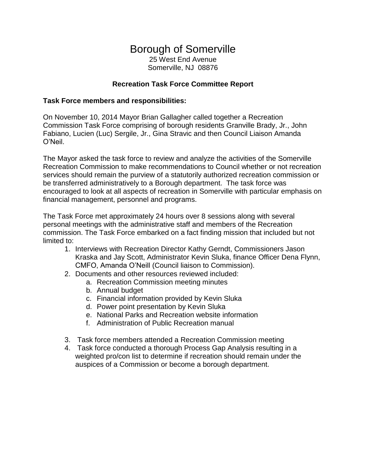# Borough of Somerville 25 West End Avenue

Somerville, NJ 08876

## **Recreation Task Force Committee Report**

### **Task Force members and responsibilities:**

On November 10, 2014 Mayor Brian Gallagher called together a Recreation Commission Task Force comprising of borough residents Granville Brady, Jr., John Fabiano, Lucien (Luc) Sergile, Jr., Gina Stravic and then Council Liaison Amanda O'Neil.

The Mayor asked the task force to review and analyze the activities of the Somerville Recreation Commission to make recommendations to Council whether or not recreation services should remain the purview of a statutorily authorized recreation commission or be transferred administratively to a Borough department. The task force was encouraged to look at all aspects of recreation in Somerville with particular emphasis on financial management, personnel and programs.

The Task Force met approximately 24 hours over 8 sessions along with several personal meetings with the administrative staff and members of the Recreation commission. The Task Force embarked on a fact finding mission that included but not limited to:

- 1. Interviews with Recreation Director Kathy Gerndt, Commissioners Jason Kraska and Jay Scott, Administrator Kevin Sluka, finance Officer Dena Flynn, CMFO, Amanda O'Neill (Council liaison to Commission).
- 2. Documents and other resources reviewed included:
	- a. Recreation Commission meeting minutes
		- b. Annual budget
		- c. Financial information provided by Kevin Sluka
		- d. Power point presentation by Kevin Sluka
		- e. National Parks and Recreation website information
		- f. Administration of Public Recreation manual
- 3. Task force members attended a Recreation Commission meeting
- 4. Task force conducted a thorough Process Gap Analysis resulting in a weighted pro/con list to determine if recreation should remain under the auspices of a Commission or become a borough department.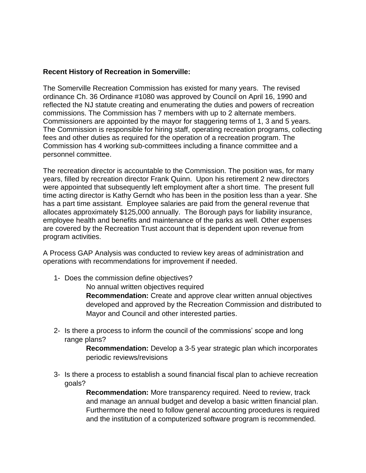#### **Recent History of Recreation in Somerville:**

The Somerville Recreation Commission has existed for many years. The revised ordinance Ch. 36 Ordinance #1080 was approved by Council on April 16, 1990 and reflected the NJ statute creating and enumerating the duties and powers of recreation commissions. The Commission has 7 members with up to 2 alternate members. Commissioners are appointed by the mayor for staggering terms of 1, 3 and 5 years. The Commission is responsible for hiring staff, operating recreation programs, collecting fees and other duties as required for the operation of a recreation program. The Commission has 4 working sub-committees including a finance committee and a personnel committee.

The recreation director is accountable to the Commission. The position was, for many years, filled by recreation director Frank Quinn. Upon his retirement 2 new directors were appointed that subsequently left employment after a short time. The present full time acting director is Kathy Gerndt who has been in the position less than a year. She has a part time assistant. Employee salaries are paid from the general revenue that allocates approximately \$125,000 annually. The Borough pays for liability insurance, employee health and benefits and maintenance of the parks as well. Other expenses are covered by the Recreation Trust account that is dependent upon revenue from program activities.

A Process GAP Analysis was conducted to review key areas of administration and operations with recommendations for improvement if needed.

1- Does the commission define objectives?

No annual written objectives required

**Recommendation:** Create and approve clear written annual objectives developed and approved by the Recreation Commission and distributed to Mayor and Council and other interested parties.

2- Is there a process to inform the council of the commissions' scope and long range plans?

> **Recommendation:** Develop a 3-5 year strategic plan which incorporates periodic reviews/revisions

3- Is there a process to establish a sound financial fiscal plan to achieve recreation goals?

> **Recommendation:** More transparency required. Need to review, track and manage an annual budget and develop a basic written financial plan. Furthermore the need to follow general accounting procedures is required and the institution of a computerized software program is recommended.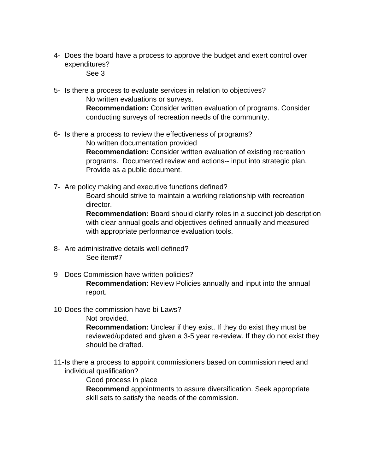4- Does the board have a process to approve the budget and exert control over expenditures?

See 3

- 5- Is there a process to evaluate services in relation to objectives? No written evaluations or surveys. **Recommendation:** Consider written evaluation of programs. Consider conducting surveys of recreation needs of the community.
- 6- Is there a process to review the effectiveness of programs? No written documentation provided **Recommendation:** Consider written evaluation of existing recreation programs. Documented review and actions-- input into strategic plan. Provide as a public document.
- 7- Are policy making and executive functions defined?

Board should strive to maintain a working relationship with recreation director.

**Recommendation:** Board should clarify roles in a succinct job description with clear annual goals and objectives defined annually and measured with appropriate performance evaluation tools.

- 8- Are administrative details well defined? See item#7
- 9- Does Commission have written policies?

**Recommendation:** Review Policies annually and input into the annual report.

10-Does the commission have bi-Laws?

Not provided.

**Recommendation:** Unclear if they exist. If they do exist they must be reviewed/updated and given a 3-5 year re-review. If they do not exist they should be drafted.

11-Is there a process to appoint commissioners based on commission need and individual qualification?

Good process in place

**Recommend** appointments to assure diversification. Seek appropriate skill sets to satisfy the needs of the commission.